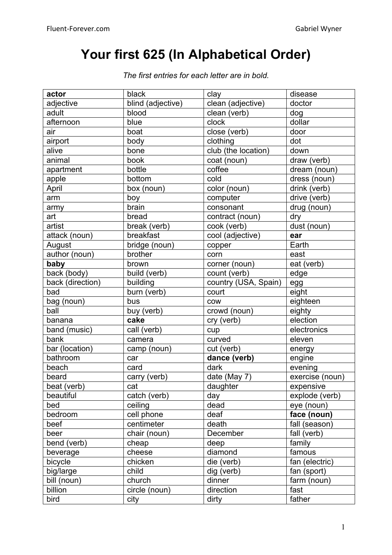## **Your first 625 (In Alphabetical Order)**

| actor            | black             | clay                          | disease         |
|------------------|-------------------|-------------------------------|-----------------|
| adjective        | blind (adjective) | clean (adjective)             | doctor          |
| adult            | blood             | clean (verb)                  | dog             |
| afternoon        | blue              | clock                         | dollar          |
| air              | boat              | close (verb)                  | door            |
| airport          | body              | clothing                      | dot             |
| alive            | bone              | club (the location)           | down            |
| animal           | book              | coat (noun)                   | draw (verb)     |
| apartment        | bottle            | $\overline{\mathrm{c}}$ offee | dream (noun)    |
| apple            | bottom            | cold                          | dress (noun)    |
| April            | box (noun)        | color (noun)                  | drink (verb)    |
| arm              | boy               | computer                      | drive (verb)    |
| army             | brain             | consonant                     | drug (noun)     |
| art              | bread             | contract (noun)               | dry             |
| artist           | break (verb)      | cook (verb)                   | dust (noun)     |
| attack (noun)    | breakfast         | cool (adjective)              | ear             |
| August           | bridge (noun)     | copper                        | Earth           |
| author (noun)    | brother           | corn                          | east            |
| baby             | brown             | corner (noun)                 | eat (verb)      |
| back (body)      | build (verb)      | count (verb)                  | edge            |
| back (direction) | building          | country (USA, Spain)          | egg             |
| bad              | burn (verb)       | court                         | eight           |
| bag (noun)       | bus               | <b>COW</b>                    | eighteen        |
| ball             | buy (verb)        | crowd (noun)                  | eighty          |
| banana           | cake              | cry (verb)                    | election        |
| band (music)     | call (verb)       | cup                           | electronics     |
| bank             | camera            | curved                        | eleven          |
| bar (location)   | camp (noun)       | cut (verb)                    | energy          |
| bathroom         | car               | dance (verb)                  | engine          |
| beach            | card              | dark                          | evening         |
| beard            | carry (verb)      | date (May 7)                  | exercise (noun) |
| beat (verb)      | cat               | daughter                      | expensive       |
| beautiful        | catch (verb)      | day                           | explode (verb)  |
| bed              | ceiling           | dead                          | eye (noun)      |
| bedroom          | cell phone        | deaf                          | face (noun)     |
| beef             | centimeter        | death                         | fall (season)   |
| beer             | chair (noun)      | December                      | fall (verb)     |
| bend (verb)      | cheap             | deep                          | family          |
| beverage         | cheese            | diamond                       | famous          |
| bicycle          | chicken           | die (verb)                    | fan (electric)  |
| big/large        | child             | dig (verb)                    | fan (sport)     |
| bill (noun)      | church            | dinner                        | farm (noun)     |
| billion          | circle (noun)     | direction                     | fast            |
| bird             | city              | dirty                         | father          |

*The first entries for each letter are in bold.*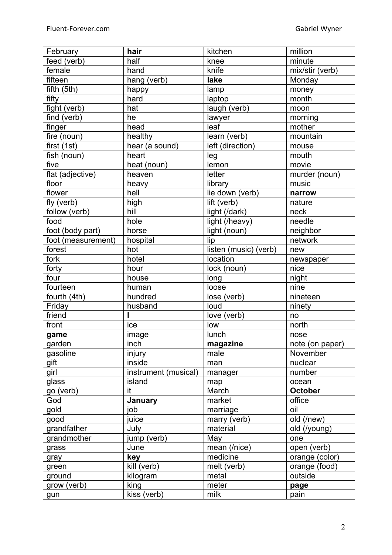| February           | hair                 | kitchen               | million         |
|--------------------|----------------------|-----------------------|-----------------|
| feed (verb)        | half                 | knee                  | minute          |
| female             | hand                 | knife                 | mix/stir (verb) |
| fifteen            | hang (verb)          | lake                  | Monday          |
| fifth (5th)        | happy                | lamp                  | money           |
| fifty              | hard                 | laptop                | month           |
| fight (verb)       | hat                  | laugh (verb)          | moon            |
| find (verb)        | he                   | lawyer                | morning         |
| finger             | head                 | leaf                  | mother          |
| fire (noun)        | healthy              | learn (verb)          | mountain        |
| first (1st)        | hear (a sound)       | left (direction)      | mouse           |
| fish (noun)        | heart                | leg                   | mouth           |
| five               | heat (noun)          | lemon                 | movie           |
| flat (adjective)   | heaven               | letter                | murder (noun)   |
| floor              | heavy                | library               | music           |
| flower             | hell                 | lie down (verb)       | narrow          |
| fly (verb)         | high                 | lift (verb)           | nature          |
| follow (verb)      | hill                 | light (/dark)         | neck            |
| food               | hole                 | light (/heavy)        | needle          |
| foot (body part)   | horse                | light (noun)          | neighbor        |
|                    |                      |                       |                 |
| foot (measurement) | hospital             | lip                   | network         |
| forest             | hot                  | listen (music) (verb) | new             |
| fork               | hotel                | location              | newspaper       |
| forty              | hour                 | lock (noun)           | nice            |
| four               | house                | long                  | night           |
| fourteen           | human                | loose                 | nine            |
| fourth (4th)       | hundred              | lose (verb)           | nineteen        |
| Friday             | husband              | loud                  | ninety          |
| friend             |                      | love (verb)           | no              |
| front              | ice                  | low                   | north           |
| game               | image                | lunch                 | nose            |
| garden             | $\overline{in}$ ch   | magazine              | note (on paper) |
| gasoline           | injury               | male                  | November        |
| gift               | inside               | man                   | nuclear         |
| girl               | instrument (musical) | manager               | number          |
| glass              | island               | map                   | ocean           |
| go (verb)          | it                   | March                 | <b>October</b>  |
| God                | January              | market                | office          |
| gold               | job                  | marriage              | oil             |
| good               | juice                | marry (verb)          | old (/new)      |
| grandfather        | July                 | material              | old (/young)    |
| grandmother        | jump (verb)          | May                   | one             |
| grass              | June                 | mean (/nice)          | open (verb)     |
| gray               | key                  | medicine              | orange (color)  |
| green              | kill (verb)          | melt (verb)           | orange (food)   |
| ground             | kilogram             | metal                 | outside         |
| grow (verb)        | king                 | meter                 | page            |
| gun                | kiss (verb)          | milk                  | pain            |
|                    |                      |                       |                 |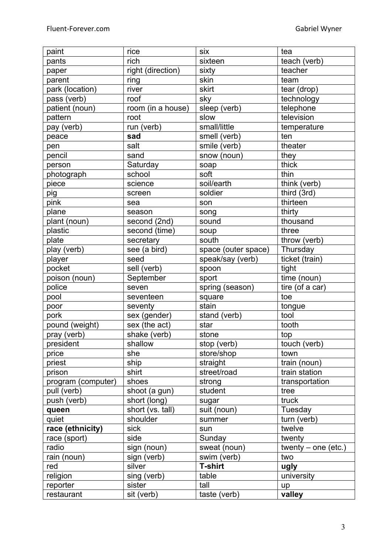| paint              | rice              | six                 | tea                   |
|--------------------|-------------------|---------------------|-----------------------|
| pants              | rich              | sixteen             | teach (verb)          |
| paper              | right (direction) | sixty               | teacher               |
| parent             | ring              | skin                | team                  |
| park (location)    | river             | skirt               | tear (drop)           |
| pass (verb)        | roof              | sky                 | technology            |
| patient (noun)     | room (in a house) | sleep (verb)        | telephone             |
| pattern            | root              | slow                | television            |
| pay (verb)         | run (verb)        | small/little        | temperature           |
| peace              | sad               | smell (verb)        | ten                   |
| pen                | salt              | smile (verb)        | theater               |
| pencil             | sand              | snow (noun)         | they                  |
| person             | Saturday          | soap                | thick                 |
| photograph         | school            | soft                | thin                  |
| piece              | science           | soil/earth          | think (verb)          |
| pig                | screen            | soldier             | third (3rd)           |
| pink               | sea               | son                 | thirteen              |
| plane              | season            | song                | thirty                |
| plant (noun)       | second (2nd)      | sound               | thousand              |
| plastic            | second (time)     | soup                | three                 |
| plate              | secretary         | south               | throw (verb)          |
| play (verb)        | see (a bird)      | space (outer space) | Thursday              |
| player             | seed              | speak/say (verb)    | ticket (train)        |
| pocket             | sell (verb)       | spoon               | tight                 |
| poison (noun)      | September         | sport               | time (noun)           |
| police             | seven             | spring (season)     | tire (of a car)       |
| pool               | seventeen         | square              | toe                   |
| poor               | seventy           | stain               | tongue                |
| pork               | sex (gender)      | stand (verb)        | tool                  |
| pound (weight)     | sex (the act)     | star                | tooth                 |
| pray (verb)        | shake (verb)      | stone               | top                   |
| president          | shallow           | stop (verb)         | touch (verb)          |
| price              | she               | store/shop          | town                  |
| priest             | ship              | straight            | train (noun)          |
| prison             | shirt             | street/road         | train station         |
| program (computer) | shoes             | strong              | transportation        |
| pull (verb)        | shoot (a gun)     | student             | tree                  |
| push (verb)        | short (long)      | sugar               | truck                 |
| queen              | short (vs. tall)  | suit (noun)         | Tuesday               |
| quiet              | shoulder          | summer              | turn (verb)           |
| race (ethnicity)   | sick              | sun                 | twelve                |
| race (sport)       | side              | Sunday              | twenty                |
| radio              | sign (noun)       | sweat (noun)        | twenty $-$ one (etc.) |
| rain (noun)        | sign (verb)       | swim (verb)         | two                   |
| red                | silver            | <b>T-shirt</b>      | ugly                  |
| religion           | sing (verb)       | table               | university            |
| reporter           | sister            | tall                | up                    |
| restaurant         | sit (verb)        | taste (verb)        | valley                |